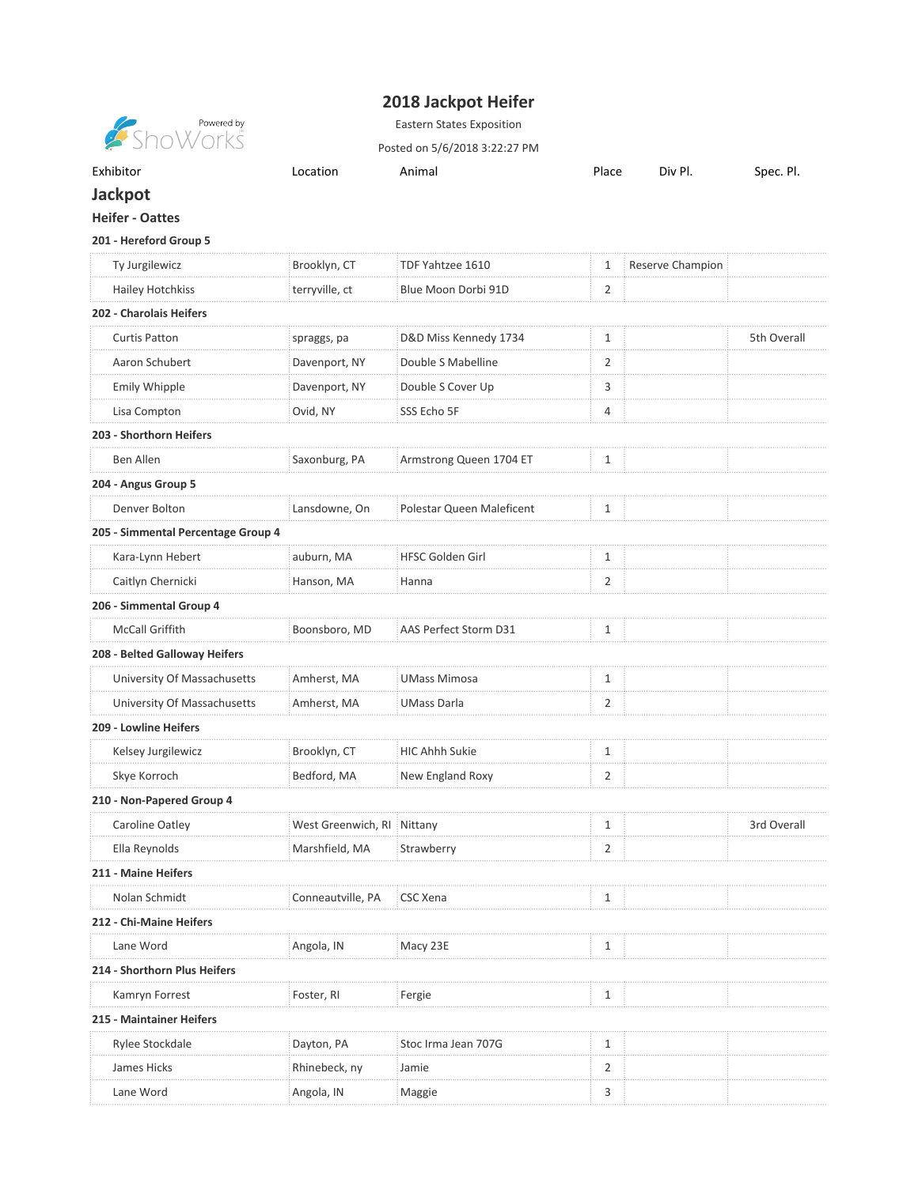## **2018 Jackpot Heifer**

**Showered by**<br>Show orks

Eastern States Exposition

Posted on 5/6/2018 3:22:27 PM

| Exhibitor<br>. | ∟ocatior<br>- - - - - | Anima | Place<br>. | Div<br>DI | $\overline{\phantom{0}}$<br><b>Spec</b><br>וט |
|----------------|-----------------------|-------|------------|-----------|-----------------------------------------------|
|                |                       |       |            |           |                                               |

## **Jackpot**

## **Heifer - Oattes**

## **201 - Hereford Group 5**

| Ty Jurgilewicz                     | Brooklyn, CT               | TDF Yahtzee 1610          | 1              | Reserve Champion |             |
|------------------------------------|----------------------------|---------------------------|----------------|------------------|-------------|
| <b>Hailey Hotchkiss</b>            | terryville, ct             | Blue Moon Dorbi 91D       | 2              |                  |             |
| 202 - Charolais Heifers            |                            |                           |                |                  |             |
| <b>Curtis Patton</b>               | spraggs, pa                | D&D Miss Kennedy 1734     | $\mathbf{1}$   |                  | 5th Overall |
| Aaron Schubert                     | Davenport, NY              | Double S Mabelline        | $\overline{2}$ |                  |             |
| Emily Whipple                      | Davenport, NY              | Double S Cover Up         | 3              |                  |             |
| Lisa Compton                       | Ovid, NY                   | SSS Echo 5F               | 4              |                  |             |
| 203 - Shorthorn Heifers            |                            |                           |                |                  |             |
| Ben Allen                          | Saxonburg, PA              | Armstrong Queen 1704 ET   | 1              |                  |             |
| 204 - Angus Group 5                |                            |                           |                |                  |             |
| Denver Bolton                      | Lansdowne, On              | Polestar Queen Maleficent | 1              |                  |             |
| 205 - Simmental Percentage Group 4 |                            |                           |                |                  |             |
| Kara-Lynn Hebert                   | auburn, MA                 | <b>HFSC Golden Girl</b>   | $\mathbf{1}$   |                  |             |
| Caitlyn Chernicki                  | Hanson, MA                 | Hanna                     | 2              |                  |             |
| 206 - Simmental Group 4            |                            |                           |                |                  |             |
| McCall Griffith                    | Boonsboro, MD              | AAS Perfect Storm D31     | 1              |                  |             |
| 208 - Belted Galloway Heifers      |                            |                           |                |                  |             |
| University Of Massachusetts        | Amherst, MA                | <b>UMass Mimosa</b>       | $\mathbf{1}$   |                  |             |
| University Of Massachusetts        | Amherst, MA                | <b>UMass Darla</b>        | 2              |                  |             |
| 209 - Lowline Heifers              |                            |                           |                |                  |             |
| Kelsey Jurgilewicz                 | Brooklyn, CT               | <b>HIC Ahhh Sukie</b>     | 1              |                  |             |
| Skye Korroch                       | Bedford, MA                | New England Roxy          | $\overline{2}$ |                  |             |
| 210 - Non-Papered Group 4          |                            |                           |                |                  |             |
| Caroline Oatley                    | West Greenwich, RI Nittany |                           | $\mathbf{1}$   |                  | 3rd Overall |
| Ella Reynolds                      | Marshfield, MA             | Strawberry                | 2              |                  |             |
| 211 - Maine Heifers                |                            |                           |                |                  |             |
| Nolan Schmidt                      | Conneautville, PA          | CSC Xena                  | 1              |                  |             |
| 212 - Chi-Maine Heifers            |                            |                           |                |                  |             |
| Lane Word                          | Angola, IN                 | Macy 23E                  | 1              |                  |             |
| 214 - Shorthorn Plus Heifers       |                            |                           |                |                  |             |
| Kamryn Forrest                     | Foster, RI                 | Fergie                    | 1              |                  |             |
| 215 - Maintainer Heifers           |                            |                           |                |                  |             |
| Rylee Stockdale                    | Dayton, PA                 | Stoc Irma Jean 707G       | 1              |                  |             |
| James Hicks                        | Rhinebeck, ny              | Jamie                     | 2              |                  |             |
| Lane Word                          | Angola, IN                 | Maggie                    | 3              |                  |             |
|                                    |                            |                           |                |                  |             |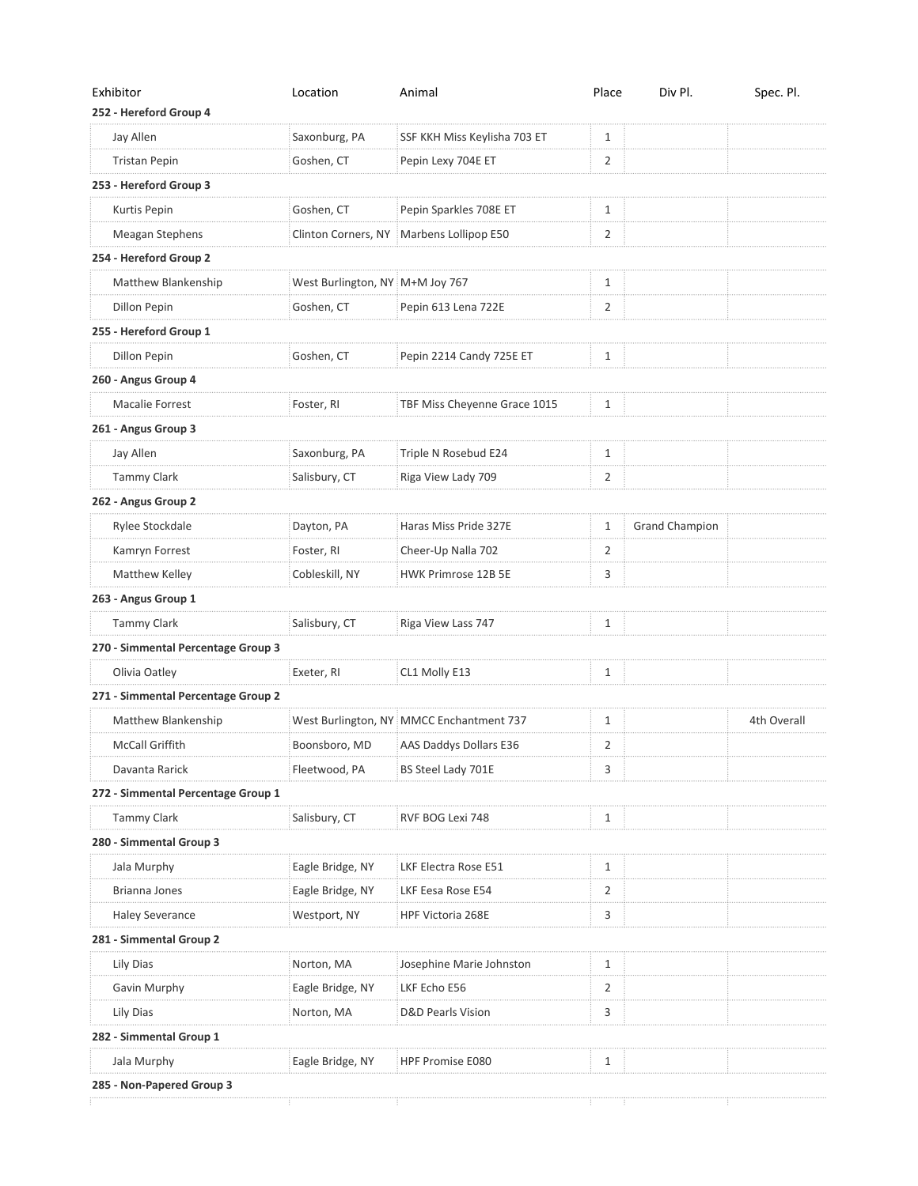| Exhibitor                          | Location                        | Animal                                   | Place        | Div Pl.               | Spec. Pl.   |
|------------------------------------|---------------------------------|------------------------------------------|--------------|-----------------------|-------------|
| 252 - Hereford Group 4             |                                 |                                          |              |                       |             |
| Jay Allen                          | Saxonburg, PA                   | SSF KKH Miss Keylisha 703 ET             | 1            |                       |             |
| <b>Tristan Pepin</b>               | Goshen, CT                      | Pepin Lexy 704E ET                       | 2            |                       |             |
| 253 - Hereford Group 3             |                                 |                                          |              |                       |             |
| Kurtis Pepin                       | Goshen, CT                      | Pepin Sparkles 708E ET                   | 1            |                       |             |
| Meagan Stephens                    |                                 | Clinton Corners, NY Marbens Lollipop E50 | 2            |                       |             |
| 254 - Hereford Group 2             |                                 |                                          |              |                       |             |
| Matthew Blankenship                | West Burlington, NY M+M Joy 767 |                                          | $\mathbf{1}$ |                       |             |
| Dillon Pepin                       | Goshen, CT                      | Pepin 613 Lena 722E                      | 2            |                       |             |
| 255 - Hereford Group 1             |                                 |                                          |              |                       |             |
| Dillon Pepin                       | Goshen, CT                      | Pepin 2214 Candy 725E ET                 | 1            |                       |             |
| 260 - Angus Group 4                |                                 |                                          |              |                       |             |
| Macalie Forrest                    | Foster, RI                      | TBF Miss Cheyenne Grace 1015             | 1            |                       |             |
| 261 - Angus Group 3                |                                 |                                          |              |                       |             |
| Jay Allen                          | Saxonburg, PA                   | Triple N Rosebud E24                     | 1            |                       |             |
| <b>Tammy Clark</b>                 | Salisbury, CT                   | Riga View Lady 709                       | 2            |                       |             |
| 262 - Angus Group 2                |                                 |                                          |              |                       |             |
| Rylee Stockdale                    | Dayton, PA                      | Haras Miss Pride 327E                    | 1            | <b>Grand Champion</b> |             |
| Kamryn Forrest                     | Foster, RI                      | Cheer-Up Nalla 702                       | 2            |                       |             |
| Matthew Kelley                     | Cobleskill, NY                  | HWK Primrose 12B 5E                      | 3            |                       |             |
| 263 - Angus Group 1                |                                 |                                          |              |                       |             |
| Tammy Clark                        | Salisbury, CT                   | Riga View Lass 747                       | 1            |                       |             |
| 270 - Simmental Percentage Group 3 |                                 |                                          |              |                       |             |
| Olivia Oatley                      | Exeter, RI                      | CL1 Molly E13                            | 1            |                       |             |
| 271 - Simmental Percentage Group 2 |                                 |                                          |              |                       |             |
| Matthew Blankenship                |                                 | West Burlington, NY MMCC Enchantment 737 | 1            |                       | 4th Overall |
| McCall Griffith                    | Boonsboro, MD                   | AAS Daddys Dollars E36                   | 2            |                       |             |
| Davanta Rarick                     | Fleetwood, PA                   | BS Steel Lady 701E                       | 3            |                       |             |
| 272 - Simmental Percentage Group 1 |                                 |                                          |              |                       |             |
| <b>Tammy Clark</b>                 | Salisbury, CT                   | RVF BOG Lexi 748                         | 1            |                       |             |
| 280 - Simmental Group 3            |                                 |                                          |              |                       |             |
| Jala Murphy                        | Eagle Bridge, NY                | LKF Electra Rose E51                     | 1            |                       |             |
| Brianna Jones                      | Eagle Bridge, NY                | LKF Eesa Rose E54                        | 2            |                       |             |
| <b>Haley Severance</b>             | Westport, NY                    | HPF Victoria 268E                        | 3            |                       |             |
| 281 - Simmental Group 2            |                                 |                                          |              |                       |             |
| Lily Dias                          | Norton, MA                      | Josephine Marie Johnston                 | 1            |                       |             |
| Gavin Murphy                       | Eagle Bridge, NY                | LKF Echo E56                             | 2            |                       |             |
| Lily Dias                          | Norton, MA                      | <b>D&amp;D Pearls Vision</b>             | 3            |                       |             |
| 282 - Simmental Group 1            |                                 |                                          |              |                       |             |
| Jala Murphy                        | Eagle Bridge, NY                | <b>HPF Promise E080</b>                  | 1            |                       |             |
| 285 - Non-Papered Group 3          |                                 |                                          |              |                       |             |
|                                    |                                 |                                          |              |                       |             |